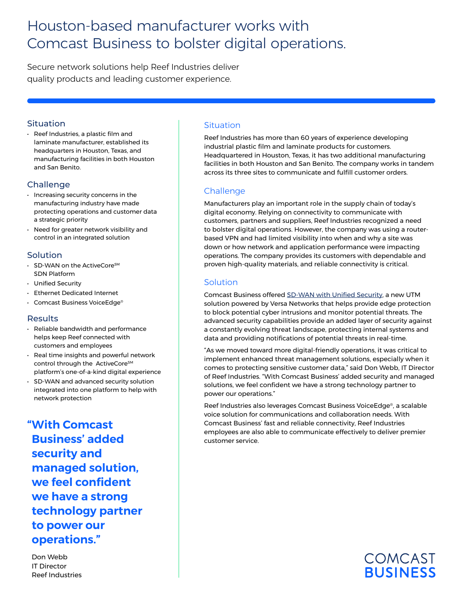# Houston-based manufacturer works with Comcast Business to bolster digital operations.

Secure network solutions help Reef Industries deliver quality products and leading customer experience.

#### Situation

• Reef Industries, a plastic film and laminate manufacturer, established its headquarters in Houston, Texas, and manufacturing facilities in both Houston and San Benito.

## Challenge

- Increasing security concerns in the manufacturing industry have made protecting operations and customer data a strategic priority
- Need for greater network visibility and control in an integrated solution

## Solution

- SD-WAN on the ActiveCore<sup>sM</sup> SDN Platform
- Unified Security
- Ethernet Dedicated Internet
- Comcast Business VoiceEdge®

#### Results

- Reliable bandwidth and performance helps keep Reef connected with customers and employees
- Real time insights and powerful network control through the ActiveCore<sup>sM</sup> platform's one-of-a-kind digital experience
- SD-WAN and advanced security solution integrated into one platform to help with network protection

**"With Comcast Business' added security and managed solution, we feel confident we have a strong technology partner to power our operations."**

Don Webb IT Director Reef Industries

# **Situation**

Reef Industries has more than 60 years of experience developing industrial plastic film and laminate products for customers. Headquartered in Houston, Texas, it has two additional manufacturing facilities in both Houston and San Benito. The company works in tandem across its three sites to communicate and fulfill customer orders.

## **Challenge**

Manufacturers play an important role in the supply chain of today's digital economy. Relying on connectivity to communicate with customers, partners and suppliers, Reef Industries recognized a need to bolster digital operations. However, the company was using a routerbased VPN and had limited visibility into when and why a site was down or how network and application performance were impacting operations. The company provides its customers with dependable and proven high-quality materials, and reliable connectivity is critical.

## **Solution**

Comcast Business offered [SD-WAN with Unified Security,](https://business.comcast.com/enterprise/products-services/activecore-software-defined-networking/sd-wan) a new UTM solution powered by Versa Networks that helps provide edge protection to block potential cyber intrusions and monitor potential threats. The advanced security capabilities provide an added layer of security against a constantly evolving threat landscape, protecting internal systems and data and providing notifications of potential threats in real-time.

"As we moved toward more digital-friendly operations, it was critical to implement enhanced threat management solutions, especially when it comes to protecting sensitive customer data," said Don Webb, IT Director of Reef Industries. "With Comcast Business' added security and managed solutions, we feel confident we have a strong technology partner to power our operations."

Reef Industries also leverages Comcast Business VoiceEdge®, a scalable voice solution for communications and collaboration needs. With Comcast Business' fast and reliable connectivity, Reef Industries employees are also able to communicate effectively to deliver premier customer service.